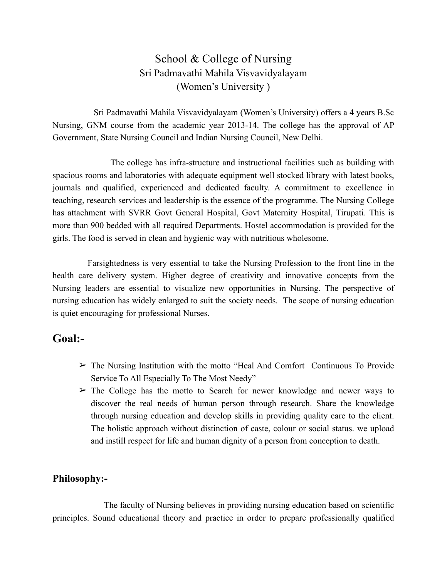# School & College of Nursing Sri Padmavathi Mahila Visvavidyalayam (Women's University )

 Sri Padmavathi Mahila Visvavidyalayam (Women's University) offers a 4 years B.Sc Nursing, GNM course from the academic year 2013-14. The college has the approval of AP Government, State Nursing Council and Indian Nursing Council, New Delhi.

 The college has infra-structure and instructional facilities such as building with spacious rooms and laboratories with adequate equipment well stocked library with latest books, journals and qualified, experienced and dedicated faculty. A commitment to excellence in teaching, research services and leadership is the essence of the programme. The Nursing College has attachment with SVRR Govt General Hospital, Govt Maternity Hospital, Tirupati. This is more than 900 bedded with all required Departments. Hostel accommodation is provided for the girls. The food is served in clean and hygienic way with nutritious wholesome.

 Farsightedness is very essential to take the Nursing Profession to the front line in the health care delivery system. Higher degree of creativity and innovative concepts from the Nursing leaders are essential to visualize new opportunities in Nursing. The perspective of nursing education has widely enlarged to suit the society needs. The scope of nursing education is quiet encouraging for professional Nurses.

# **Goal:-**

- $\geq$  The Nursing Institution with the motto "Heal And Comfort Continuous To Provide Service To All Especially To The Most Needy"
- $\geq$  The College has the motto to Search for newer knowledge and newer ways to discover the real needs of human person through research. Share the knowledge through nursing education and develop skills in providing quality care to the client. The holistic approach without distinction of caste, colour or social status. we upload and instill respect for life and human dignity of a person from conception to death.

# **Philosophy:-**

 The faculty of Nursing believes in providing nursing education based on scientific principles. Sound educational theory and practice in order to prepare professionally qualified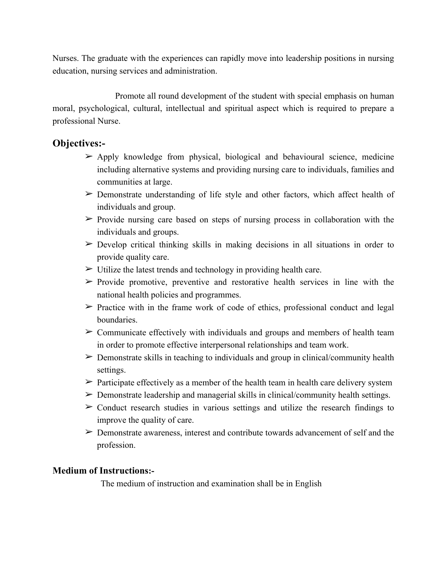Nurses. The graduate with the experiences can rapidly move into leadership positions in nursing education, nursing services and administration.

 Promote all round development of the student with special emphasis on human moral, psychological, cultural, intellectual and spiritual aspect which is required to prepare a professional Nurse.

### **Objectives:-**

- $\triangleright$  Apply knowledge from physical, biological and behavioural science, medicine including alternative systems and providing nursing care to individuals, families and communities at large.
- ➢ Demonstrate understanding of life style and other factors, which affect health of individuals and group.
- $\triangleright$  Provide nursing care based on steps of nursing process in collaboration with the individuals and groups.
- $\geq$  Develop critical thinking skills in making decisions in all situations in order to provide quality care.
- $\triangleright$  Utilize the latest trends and technology in providing health care.
- $\triangleright$  Provide promotive, preventive and restorative health services in line with the national health policies and programmes.
- $\triangleright$  Practice with in the frame work of code of ethics, professional conduct and legal boundaries.
- $\geq$  Communicate effectively with individuals and groups and members of health team in order to promote effective interpersonal relationships and team work.
- $\triangleright$  Demonstrate skills in teaching to individuals and group in clinical/community health settings.
- $\triangleright$  Participate effectively as a member of the health team in health care delivery system
- $\triangleright$  Demonstrate leadership and managerial skills in clinical/community health settings.
- $\geq$  Conduct research studies in various settings and utilize the research findings to improve the quality of care.
- $\geq$  Demonstrate awareness, interest and contribute towards advancement of self and the profession.

### **Medium of Instructions:-**

The medium of instruction and examination shall be in English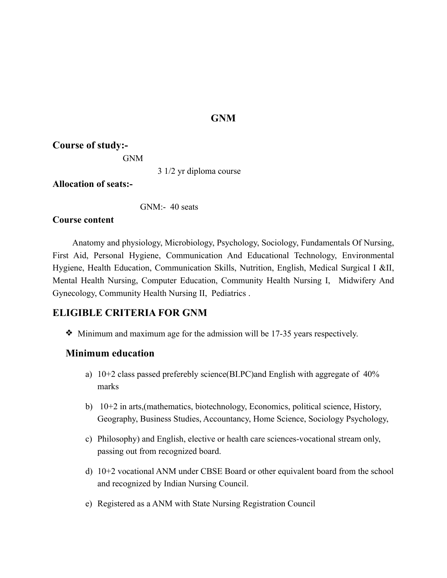# **GNM**

### **Course of study:-**

GNM

3 1/2 yr diploma course

**Allocation of seats:-**

GNM:- 40 seats

### **Course content**

 Anatomy and physiology, Microbiology, Psychology, Sociology, Fundamentals Of Nursing, First Aid, Personal Hygiene, Communication And Educational Technology, Environmental Hygiene, Health Education, Communication Skills, Nutrition, English, Medical Surgical I &II, Mental Health Nursing, Computer Education, Community Health Nursing I, Midwifery And Gynecology, Community Health Nursing II, Pediatrics .

# **ELIGIBLE CRITERIA FOR GNM**

❖ Minimum and maximum age for the admission will be 17-35 years respectively.

# **Minimum education**

- a) 10+2 class passed preferebly science(BI.PC)and English with aggregate of 40% marks
- b) 10+2 in arts,(mathematics, biotechnology, Economics, political science, History, Geography, Business Studies, Accountancy, Home Science, Sociology Psychology,
- c) Philosophy) and English, elective or health care sciences-vocational stream only, passing out from recognized board.
- d) 10+2 vocational ANM under CBSE Board or other equivalent board from the school and recognized by Indian Nursing Council.
- e) Registered as a ANM with State Nursing Registration Council